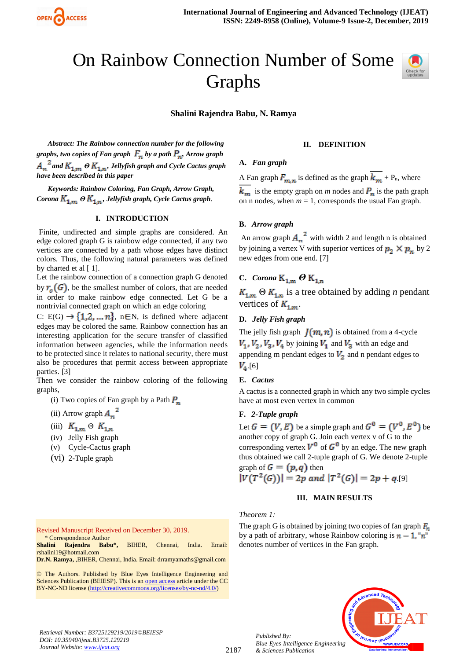

# On Rainbow Connection Number of Some Graphs



**Shalini Rajendra Babu, N. Ramya**

*Abstract: The Rainbow connection number for the following graphs, two copies of Fan graph*  $F_n$  by a path  $P_n$ , Arrow graph  $A_n^2$  and  $K_{1,m}$   $\Theta$   $K_{1,n}$ , Jellyfish graph and Cycle Cactus graph *have been described in this paper*

*Keywords: Rainbow Coloring, Fan Graph, Arrow Graph, Corona*  $K_{1,m}$   $\Theta$   $K_{1,n}$ , Jellyfish graph, Cycle Cactus graph.

# **I. INTRODUCTION**

Finite, undirected and simple graphs are considered. An edge colored graph G is rainbow edge connected, if any two vertices are connected by a path whose edges have distinct colors. Thus, the following natural parameters was defined by charted et al  $[1]$ .

Let the rainbow connection of a connection graph G denoted by  $r_{\sigma}(G)$ , be the smallest number of colors, that are needed in order to make rainbow edge connected. Let G be a nontrivial connected graph on which an edge coloring

C: E(G)  $\rightarrow$  {1,2, ... *n*}, n EN, is defined where adjacent edges may be colored the same. Rainbow connection has an interesting application for the secure transfer of classified information between agencies, while the information needs to be protected since it relates to national security, there must also be procedures that permit access between appropriate parties. [3]

Then we consider the rainbow coloring of the following graphs,

- (i) Two copies of Fan graph by a Path  $P_n$
- (ii) Arrow graph  $A_n^2$
- (iii)  $K_{1,m} \,\Theta \, K_{1,n}$
- (iv) Jelly Fish graph
- (v) Cycle-Cactus graph
- (vi) 2-Tuple graph

#### Revised Manuscript Received on December 30, 2019. \* Correspondence Author

**Shalini Rajendra Babu\*,** BIHER, Chennai, India. Email: rshalini19@hotmail.com

**Dr.N. Ramya,** ,BIHER, Chennai, India. Email: drramyamaths@gmail.com

© The Authors. Published by Blue Eyes Intelligence Engineering and Sciences Publication (BEIESP). This is a[n open access](https://www.openaccess.nl/en/open-publications) article under the CC BY-NC-ND license [\(http://creativecommons.org/licenses/by-nc-nd/4.0/\)](http://creativecommons.org/licenses/by-nc-nd/4.0/)

#### **II. DEFINITION**

# **A.** *Fan graph*

A Fan graph  $F_{m,n}$  is defined as the graph  $\overline{k_{m}}$  + P<sub>n</sub>, where

 $k_m$  is the empty graph on *m* nodes and  $P_n$  is the path graph on n nodes, when  $m = 1$ , corresponds the usual Fan graph.

#### **B.** *Arrow graph*

An arrow graph  $A_n^2$  with width 2 and length n is obtained by joining a vertex V with superior vertices of  $p_2 \times p_n$  by 2 new edges from one end. [7]

# **C.** *Corona*  $K_{1,m}$   $\Theta$   $K_{1,n}$

 $K_{1,m}$   $\Theta K_{1,n}$  is a tree obtained by adding *n* pendant vertices of  $K_{1,m}$ .

# **D.** *Jelly Fish graph*

The jelly fish graph  $J(m, n)$  is obtained from a 4-cycle  $V_1$ ,  $V_2$ ,  $V_3$ ,  $V_4$  by joining  $V_1$  and  $V_3$  with an edge and appending m pendant edges to  $V_2$  and n pendant edges to  $V_{4.}$ [6]

#### **E.** *Cactus*

A cactus is a connected graph in which any two simple cycles have at most even vertex in common

# **F.** *2-Tuple graph*

Let  $G = (V, E)$  be a simple graph and  $G^0 = (V^0, E^0)$  be another copy of graph G. Join each vertex v of G to the corresponding vertex  $V^{\bullet}$  of  $G^{\bullet}$  by an edge. The new graph thus obtained we call 2-tuple graph of G. We denote 2-tuple graph of  $G = (p,q)$  then

$$
|V(T^2(G))| = 2p \text{ and } |T^2(G)| = 2p + q \cdot 9
$$

# **III. MAIN RESULTS**

# *Theorem 1:*

*Published By:*

*& Sciences Publication* 

The graph G is obtained by joining two copies of fan graph  $F_n$ by a path of arbitrary, whose Rainbow coloring is  $n - 1$ , "n" denotes number of vertices in the Fan graph.



*Retrieval Number: B3725129219/2019©BEIESP DOI: 10.35940/ijeat.B3725.129219 Journal Website[: www.ijeat.org](http://www.ijeat.org/)*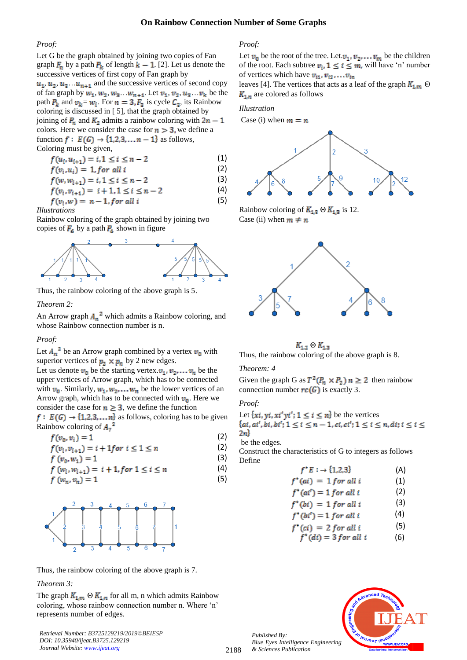# **On Rainbow Connection Number of Some Graphs**

(1)

#### *Proof:*

Let G be the graph obtained by joining two copies of Fan graph  $\mathbf{F}_n$  by a path  $\mathbf{P}_k$  of length  $k - 1$ . [2]. Let us denote the successive vertices of first copy of Fan graph by  $u_1, u_2, u_3, \ldots, u_{n+1}$  and the successive vertices of second copy

of fan graph by  $w_1, w_2, w_3 \ldots w_{n+1}.$  Let  $v_1, v_2, u_3 \ldots v_k$  be the path  $P_k$  and  $v_k = w_i$ . For  $n = 3, F_3$  is cycle  $C_3$ , its Rainbow coloring is discussed in [ 5], that the graph obtained by joining of  $P_n$  and  $K_2$  admits a rainbow coloring with  $2n - 1$ colors. Here we consider the case for  $n > 3$ , we define a function  $f: E(G) \rightarrow \{1,2,3,...,n-1\}$  as follows, Coloring must be given,

$$
f(u_i, u_{i+1}) = i, 1 \le i \le n-2
$$

$$
f(v_i, u_i) = 1, \text{for all } i \tag{2}
$$

$$
f(w, w_{i+1}) = i, 1 \le i \le n-2
$$
 (3)

$$
f(v_i, v_{i+1}) = i + 1, 1 \le i \le n - 2 \tag{4}
$$

$$
f(v_i, w) = n - 1, \text{for all } i \tag{5}
$$

$$
Illustrations \\
$$

Rainbow coloring of the graph obtained by joining two copies of  $\mathbf{F}_6$  by a path  $\mathbf{P}_4$  shown in figure



Thus, the rainbow coloring of the above graph is 5.

# *Theorem 2:*

An Arrow graph  $A_n^2$  which admits a Rainbow coloring, and whose Rainbow connection number is n.

#### *Proof:*

Let  $A_n^2$  be an Arrow graph combined by a vertex  $v_0$  with superior vertices of  $p_2 \times p_n$  by 2 new edges.

Let us denote  $v_0$  be the starting vertex.  $v_1, v_2, \ldots v_n$  be the upper vertices of Arrow graph, which has to be connected with  $v_0$ . Similarly,  $w_1, w_2, \ldots, w_n$  be the lower vertices of an Arrow graph, which has to be connected with  $v_0$ . Here we consider the case for  $n \geq 3$ , we define the function

 $f: E(G) \rightarrow \{1,2,3,...,n\}$  as follows, coloring has to be given Rainbow coloring of  $A_7^2$ 

$$
f(v_0, v_i) = 1
$$
 (2)  

$$
f(v_0, v_1) = i + 1 f(v_0) i \le 1 \le r
$$
 (3)

$$
f(v_i, v_{i+1}) = i + 1 \text{ for } i \le 1 \le n
$$
  
\n
$$
f(v_0, w_1) = 1
$$
\n(2)

$$
f(v_0, w_1) = 1
$$
\n
$$
f(w_i, w_{i+1}) = i + 1, \text{ for } 1 < i < n \tag{4}
$$

$$
f(w_i, w_{i+1}) = i + 1, \text{for } 1 \le i \le n
$$
  

$$
f(w_m, v_n) = 1
$$
 (5)

Thus, the rainbow coloring of the above graph is 7.

#### *Theorem 3:*

The graph  $K_{1,m}$   $\Theta$   $K_{1,n}$  for all m, n which admits Rainbow coloring, whose rainbow connection number n. Where 'n' represents number of edges.

*Retrieval Number: B3725129219/2019©BEIESP DOI: 10.35940/ijeat.B3725.129219 Journal Website[: www.ijeat.org](http://www.ijeat.org/)*

# *Proof:*

Let  $v_0$  be the root of the tree. Let  $v_1, v_2, \ldots v_m$  be the children of the root. Each subtree  $v_i$ ,  $1 \le i \le m$ , will have 'n' number of vertices which have  $v_{i1}, v_{i2}, \ldots v_{in}$ 

leaves [4]. The vertices that acts as a leaf of the graph  $K_{1,m}$   $\Theta$  $K_{1,n}$  are colored as follows

*Illustration*

Case (i) when  $m = n$ 



Rainbow coloring of  $K_{1,3} \Theta K_{1,3}$  is 12. Case (ii) when  $m \neq n$ 



 $K_{1,2} \Theta K_{1,3}$ Thus, the rainbow coloring of the above graph is 8.

# *Theorem: 4*

Given the graph G as  $T^2(P_n \times P_2)$   $n \ge 2$  then rainbow connection number  $rc(G)$  is exactly 3.

#### *Proof:*

Let  $\{xi, yi, xi'yi'; 1 \le i \le n\}$  be the vertices<br> $\{ai, ai', bi, bi'; 1 \le i \le n-1, ci, ci'; 1 \le i \le n, di; i \le i \le n\}$  $2n$ 

be the edges.

Construct the characteristics of G to integers as follows Define

$$
f^*E : \rightarrow \{1,2,3\} \tag{A}
$$
  

$$
f^*(ai) = 1 \text{ for all } i \tag{1}
$$

$$
f^*(ai') = 1 \text{ for all } i \tag{2}
$$

$$
f^*(bi) = 1 \text{ for all } i \tag{3}
$$

$$
f^*(bi') = 1 \text{ for all } i \tag{4}
$$

$$
f^*(ci) = 2 \text{ for all } i \tag{5}
$$

$$
f^*(di) = 3 \text{ for all } i \tag{6}
$$



*Published By: Blue Eyes Intelligence Engineering & Sciences Publication*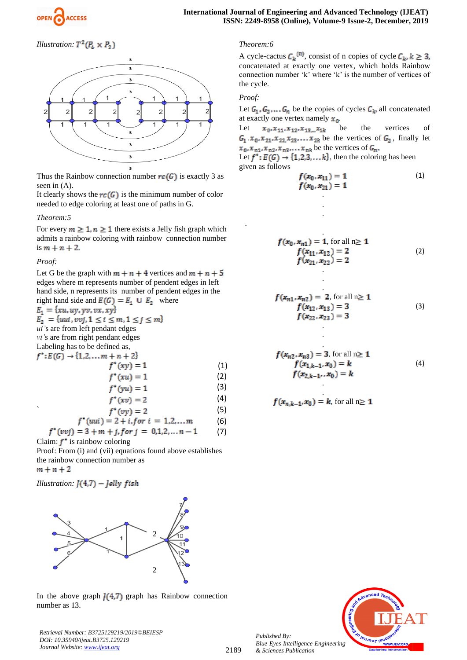*Illustration:*  $T^2(P_4 \times P_2)$ 



Thus the Rainbow connection number  $rc(G)$  is exactly 3 as seen in (A).

It clearly shows the  $rc(G)$  is the minimum number of color needed to edge coloring at least one of paths in G.

# *Theorem:5*

For every  $m \geq 1$ ,  $n \geq 1$  there exists a Jelly fish graph which admits a rainbow coloring with rainbow connection number is  $m + n + 2$ .

*Proof:*

Let G be the graph with  $m + n + 4$  vertices and  $m + n + 5$ edges where m represents number of pendent edges in left hand side, n represents its number of pendent edges in the right hand side and  $E(G) = E_1 \cup E_2$  where  $E_1 = \{xu, uy, yv, vx, xy\}$  $E_2 = \{uui, vvj, 1 \le i \le m, 1 \le j \le m\}$ *ui'*s are from left pendant edges *vi'*s are from right pendant edges Labeling has to be defined as,  $f^*: E(G) \rightarrow \{1,2,...,m+n+2\}$  $f^*(xy) = 1$ (1)  $f^*(xu) = 1$ (2) (3)  $f^*(yu) = 1$ 

$$
f^*(xv) = 2 \tag{4}
$$

$$
f^*(vy) = 2
$$
 (5)  

$$
f^*(uui) = 2 + i, for \ i = 1,2,...m
$$
 (6)

$$
f^*(vvj) = 3 + m + j, for \, j = 0, 1, 2, \dots, n - 1 \tag{7}
$$

Claim:  $f^*$  is rainbow coloring

Proof: From (i) and (vii) equations found above establishes the rainbow connection number as  $m + n + 2$ 

*Illustration:*  $J(4,7)$  – *Jelly fish* 



In the above graph  $I(4,7)$  graph has Rainbow connection number as 13.

*Retrieval Number: B3725129219/2019©BEIESP DOI: 10.35940/ijeat.B3725.129219 Journal Website[: www.ijeat.org](http://www.ijeat.org/)*

# *Theorem:6*

A cycle-cactus  $C_k^{(n)}$ , consist of n copies of cycle  $C_k, k \geq 3$ , concatenated at exactly one vertex, which holds Rainbow connection number 'k' where 'k' is the number of vertices of the cycle.

# *Proof:*

.

f

Let  $G_1, G_2, \ldots, G_n$  be the copies of cycles  $C_k$ , all concatenated at exactly one vertex namely  $x_0$ .

Let  $x_0, x_{11}, x_{12}, x_{13} \dots x_{1k}$  be the vertices of  $G_1$ ,  $x_0$ ,  $x_{21}$ ,  $x_{22}$ ,  $x_{23}$ , ...,  $x_{2k}$  be the vertices of  $G_2$ , finally let be the vertices of

Let  $f^*: E(G) \to \{1,2,3,\ldots,k\}$ , then the coloring has been given as follows

.

.

.

.

$$
f(x_0, x_{11}) = 1
$$
  
f(x<sub>0</sub>, x<sub>21</sub>) = 1 (1)

$$
f(x_0, x_{n1}) = 1, \text{ for all } n \ge 1
$$
  
\n
$$
f(x_{11}, x_{12}) = 2
$$
  
\n
$$
f(x_{21}, x_{22}) = 2
$$
\n(2)

$$
f(x_{n1}, x_{n2}) = 2, \text{ for all } n \ge 1
$$
  

$$
f(x_{12}, x_{13}) = 3
$$
  

$$
f(x_{22}, x_{23}) = 3
$$
 (3)

$$
f(x_{n2}, x_{n3}) = 3, \text{ for all } n \ge 1
$$
  

$$
f(x_{1,k-1}, x_0) = k
$$
  

$$
f(x_{2,k-1}, x_0) = k
$$
 (4)

$$
f(x_{n,k-1}, x_0) = k, \text{ for all } n \ge 1
$$



*Published By: Blue Eyes Intelligence Engineering & Sciences Publication*